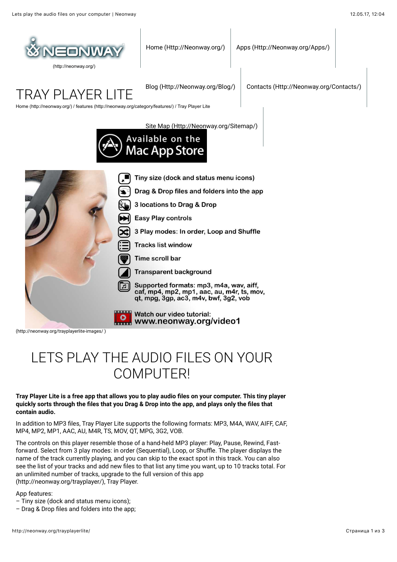

[\(http://neonway.org/\)](http://neonway.org/)

[Home \(Http://Neonway.org/\)](http://neonway.org/) | [Apps \(Http://Neonway.org/Apps/\)](http://neonway.org/apps/)

TRAY PI AYFR I

[Blog \(Http://Neonway.org/Blog/\)](http://neonway.org/blog/) [Contacts \(Http://Neonway.org/Contacts/\)](http://neonway.org/contacts/)

[Home \(http://neonway.org/\)](http://neonway.org/) / [features \(http://neonway.org/category/features/\)](http://neonway.org/category/features/) / Tray Player Lite

[Site Map \(Http://Neonway.org/Sitemap/\)](http://neonway.org/sitemap/)





[\(http://neonway.org/trayplayerlite-images/ \)](http://neonway.org/trayplayerlite-images/)

# LETS PLAY THE AUDIO FILES ON YOUR COMPUTER!

#### **Tray Player Lite is a free app that allows you to play audio 4les on your computer. This tiny player quickly sorts through the 4les that you Drag & Drop into the app, and plays only the 4les that contain audio.**

In addition to MP3 files, Tray Player Lite supports the following formats: MP3, M4A, WAV, AIFF, CAF, MP4, MP2, MP1, AAC, AU, M4R, TS, MOV, QT, MPG, 3G2, VOB.

The controls on this player resemble those of a hand-held MP3 player: Play, Pause, Rewind, Fastforward. Select from 3 play modes: in order (Sequential), Loop, or Shuffle. The player displays the name of the track currently playing, and you can skip to the exact spot in this track. You can also see the list of your tracks and add new files to that list any time you want, up to 10 tracks total. For [an unlimited number of tracks, upgrade to the full version of this app](http://neonway.org/trayplayer/) (http://neonway.org/trayplayer/), Tray Player.

App features:

- Tiny size (dock and status menu icons);
- $-$  Drag & Drop files and folders into the app;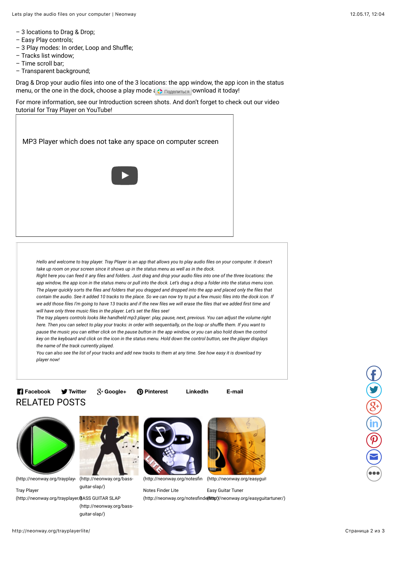- 3 locations to Drag & Drop;
- Easy Play controls;
- 3 Play modes: In order, Loop and Shuffle;
- Tracks list window;
- Time scroll bar;
- Transparent background;

Drag & Drop your audio files into one of the 3 locations: the app window, the app icon in the status menu, or the one in the dock, choose a play mode  $\left\{\right\}$  DogenWILES Download it today!

For more information, see our Introduction screen shots. And don't forget to check out our video tutorial for Tray Player on YouTube!



*Hello and welcome to tray player. Tray Player is an app that allows you to play audio 7les on your computer. It doesn't take up room on your screen since it shows up in the status menu as well as in the dock.*

*Right here you can feed it any 7les and folders. Just drag and drop your audio 7les into one of the three locations: the app window, the app icon in the status menu or pull into the dock. Let's drag a drop a folder into the status menu icon. The player quickly sorts the 7les and folders that you dragged and dropped into the app and placed only the 7les that contain the audio. See it added 10 tracks to the place. So we can now try to put a few music 7les into the dock icon. If we add those 7les I'm going to have 13 tracks and if the new 7les we will erase the 7les that we added 7rst time and will have only three music 7les in the player. Let's set the 7les see!*

*The tray players controls looks like handheld mp3 player: play, pause, next, previous. You can adjust the volume right here. Then you can select to play your tracks: in order with sequentially, on the loop or shuffle them. If you want to pause the music you can either click on the pause button in the app window, or you can also hold down the control key on the keyboard and click on the icon in the status menu. Hold down the control button, see the player displays the name of the track currently played.*

*You can also see the list of your tracks and add new tracks to them at any time. See how easy it is download try player now!*

### RELATED POSTS **Facebook Twitter Google+ Pinterest LinkedIn E-mail**

(http://neonway.org/trayplay (http://neonway.org/bass-

(http://neonway.org/notesfin [\(http://neonway.org/easyguit](http://neonway.org/easyguitartuner/)



Notes Finder Lite (http://neonway.org/notesfinde(thitter)//neonway.org/easyguitartuner/) Easy Guitar Tuner



**Tray Player** 

(http://neonway.org/trayplayer/ $\beta$ ASS GUITAR SLAP [\(http://neonway.org/bass](http://neonway.org/bass-guitar-slap/)guitar-slap/)

guitar-slap/)